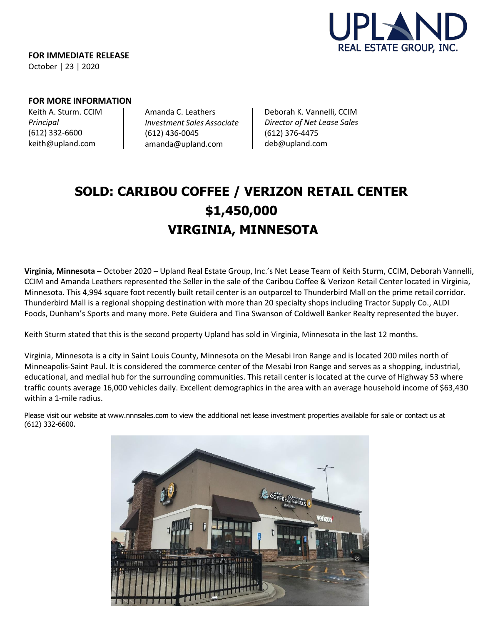

**FOR IMMEDIATE RELEASE** October | 23 | 2020

## **FOR MORE INFORMATION**

Keith A. Sturm. CCIM *Principal* (612) 332-6600 [keith@upland.com](mailto:keith@upland.com)

Amanda C. Leathers *Investment Sales Associate* (612) 436-0045 amanda@upland.com

Deborah K. Vannelli, CCIM *Director of Net Lease Sales* (612) 376-4475 [deb@upland.com](mailto:amanda@upland.com)

# **SOLD: CARIBOU COFFEE / VERIZON RETAIL CENTER \$1,450,000 VIRGINIA, MINNESOTA**

**Virginia, Minnesota –** October 2020 – Upland Real Estate Group, Inc.'s Net Lease Team of Keith Sturm, CCIM, Deborah Vannelli, CCIM and Amanda Leathers represented the Seller in the sale of the Caribou Coffee & Verizon Retail Center located in Virginia, Minnesota. This 4,994 square foot recently built retail center is an outparcel to Thunderbird Mall on the prime retail corridor. Thunderbird Mall is a regional shopping destination with more than 20 specialty shops including Tractor Supply Co., ALDI Foods, Dunham's Sports and many more. Pete Guidera and Tina Swanson of Coldwell Banker Realty represented the buyer.

Keith Sturm stated that this is the second property Upland has sold in Virginia, Minnesota in the last 12 months.

Virginia, Minnesota is a city in Saint Louis County, Minnesota on the Mesabi Iron Range and is located 200 miles north of Minneapolis-Saint Paul. It is considered the commerce center of the Mesabi Iron Range and serves as a shopping, industrial, educational, and medial hub for the surrounding communities. This retail center is located at the curve of Highway 53 where traffic counts average 16,000 vehicles daily. Excellent demographics in the area with an average household income of \$63,430 within a 1-mile radius.

Please visit our website at [www.nnnsales.com](http://www.nnnsales.com/) to view the additional net lease investment properties available for sale or contact us at (612) 332-6600.